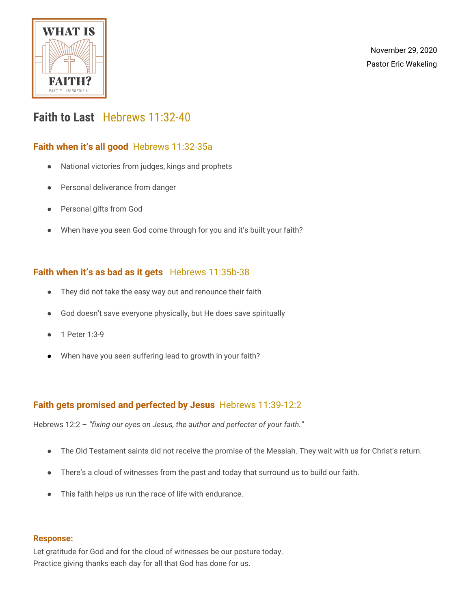

# **Faith to Last** Hebrews 11:32-40

## **Faith when it's all good** Hebrews 11:32-35a

- National victories from judges, kings and prophets
- Personal deliverance from danger
- Personal gifts from God
- When have you seen God come through for you and it's built your faith?

### **Faith when it's as bad as it gets** Hebrews 11:35b-38

- They did not take the easy way out and renounce their faith
- God doesn't save everyone physically, but He does save spiritually
- 1 Peter 1:3-9
- When have you seen suffering lead to growth in your faith?

## **Faith gets promised and perfected by Jesus** Hebrews 11:39-12:2

Hebrews 12:2 – *"fixing our eyes on Jesus, the author and perfecter of your faith."*

- The Old Testament saints did not receive the promise of the Messiah. They wait with us for Christ's return.
- There's a cloud of witnesses from the past and today that surround us to build our faith.
- This faith helps us run the race of life with endurance.

#### **Response:**

Let gratitude for God and for the cloud of witnesses be our posture today. Practice giving thanks each day for all that God has done for us.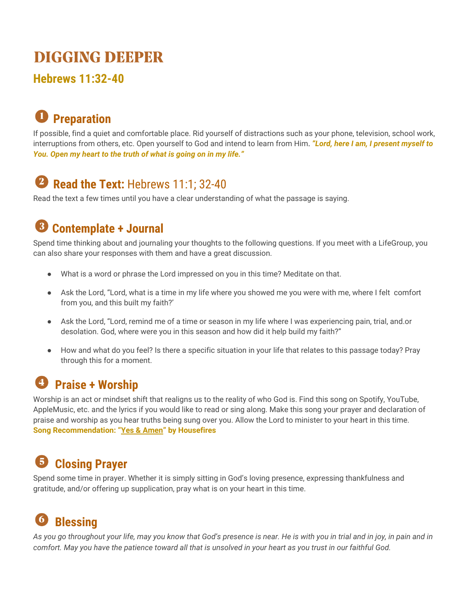# **DIGGING DEEPER**

**Hebrews 11:32-40**

# **Preparation**

If possible, find a quiet and comfortable place. Rid yourself of distractions such as your phone, television, school work, interruptions from others, etc. Open yourself to God and intend to learn from Him. *"Lord, here I am, I present myself to You. Open my heart to the truth of what is going on in my life."*

# **2** Read the Text: Hebrews 11:1; 32-40

Read the text a few times until you have a clear understanding of what the passage is saying.

# **Contemplate + Journal**

Spend time thinking about and journaling your thoughts to the following questions. If you meet with a LifeGroup, you can also share your responses with them and have a great discussion.

- What is a word or phrase the Lord impressed on you in this time? Meditate on that.
- Ask the Lord, "Lord, what is a time in my life where you showed me you were with me, where I felt comfort from you, and this built my faith?'
- Ask the Lord, "Lord, remind me of a time or season in my life where I was experiencing pain, trial, and.or desolation. God, where were you in this season and how did it help build my faith?"
- How and what do you feel? Is there a specific situation in your life that relates to this passage today? Pray through this for a moment.

# **Praise + Worship**

Worship is an act or mindset shift that realigns us to the reality of who God is. Find this song on Spotify, YouTube, AppleMusic, etc. and the lyrics if you would like to read or sing along. Make this song your prayer and declaration of praise and worship as you hear truths being sung over you. Allow the Lord to minister to your heart in this time. **Song Recommendation: "Yes & [Amen](https://www.youtube.com/watch?v=v6nVlG_d3CQ)" by Housefires**

#### 6 **Closing Prayer**

Spend some time in prayer. Whether it is simply sitting in God's loving presence, expressing thankfulness and gratitude, and/or offering up supplication, pray what is on your heart in this time.

# **Blessing**

As you go throughout your life, may you know that God's presence is near. He is with you in trial and in joy, in pain and in comfort. May you have the patience toward all that is unsolved in your heart as you trust in our faithful God.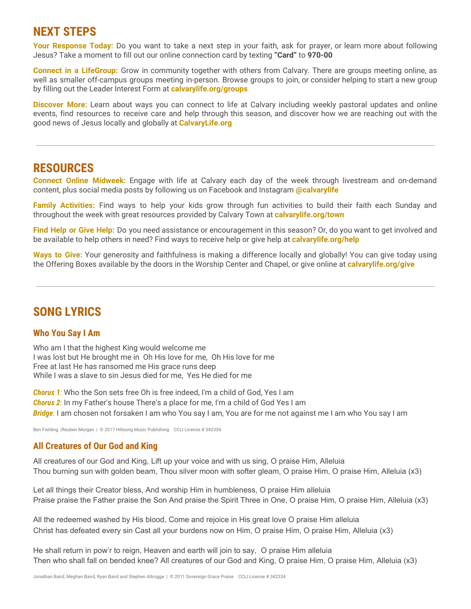# **NEXT STEPS**

**Your Response Today:** Do you want to take a next step in your faith, ask for prayer, or learn more about following Jesus? Take a moment to fill out our online connection card by texting **"Card"** to **970-00**

**Connect in a LifeGroup:** Grow in community together with others from Calvary. There are groups meeting online, as well as smaller off-campus groups meeting in-person. Browse groups to join, or consider helping to start a new group by filling out the Leader Interest Form at **calvarylife.org/groups**

**Discover More:** Learn about ways you can connect to life at Calvary including weekly pastoral updates and online events, find resources to receive care and help through this season, and discover how we are reaching out with the good news of Jesus locally and globally at **CalvaryLife.org**

## **RESOURCES**

**Connect Online Midweek:** Engage with life at Calvary each day of the week through livestream and on-demand content, plus social media posts by following us on Facebook and Instagram **@calvarylife**

**Family Activities:** Find ways to help your kids grow through fun activities to build their faith each Sunday and throughout the week with great resources provided by Calvary Town at **calvarylife.org/town**

**Find Help or Give Help:** Do you need assistance or encouragement in this season? Or, do you want to get involved and be available to help others in need? Find ways to receive help or give help at **calvarylife.org/help**

**Ways to Give:** Your generosity and faithfulness is making a difference locally and globally! You can give today using the Offering Boxes available by the doors in the Worship Center and Chapel, or give online at **calvarylife.org/give**

# **SONG LYRICS**

### **Who You Say I Am**

Who am I that the highest King would welcome me I was lost but He brought me in Oh His love for me, Oh His love for me Free at last He has ransomed me His grace runs deep While I was a slave to sin Jesus died for me, Yes He died for me

*Chorus 1:* Who the Son sets free Oh is free indeed, I'm a child of God, Yes I am *Chorus 2:* In my Father's house There's a place for me, I'm a child of God Yes I am *Bridge:* I am chosen not forsaken I am who You say I am, You are for me not against me I am who You say I am

Ben Fielding |Reuben Morgan | © 2017 Hillsong Music Publishing CCLI License # 342334

### **All Creatures of Our God and King**

All creatures of our God and King, Lift up your voice and with us sing, O praise Him, Alleluia Thou burning sun with golden beam, Thou silver moon with softer gleam, O praise Him, O praise Him, Alleluia (x3)

Let all things their Creator bless, And worship Him in humbleness, O praise Him alleluia Praise praise the Father praise the Son And praise the Spirit Three in One, O praise Him, O praise Him, Alleluia (x3)

All the redeemed washed by His blood, Come and rejoice in His great love O praise Him alleluia Christ has defeated every sin Cast all your burdens now on Him, O praise Him, O praise Him, Alleluia (x3)

He shall return in pow'r to reign, Heaven and earth will join to say, O praise Him alleluia Then who shall fall on bended knee? All creatures of our God and King, O praise Him, O praise Him, Alleluia (x3)